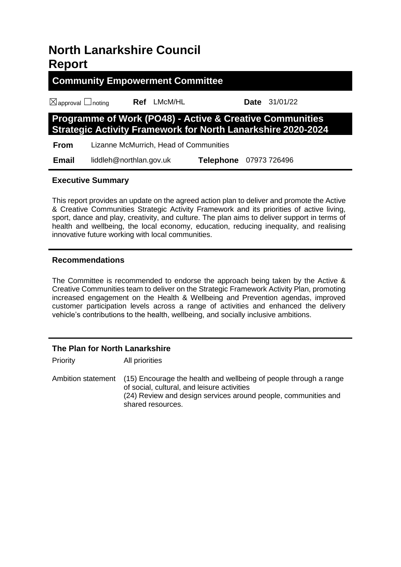# **North Lanarkshire Council Report**

**Community Empowerment Committee** ☒approval ☐noting **Ref** LMcM/HL **Date** 31/01/22 **Programme of Work (PO48) - Active & Creative Communities Strategic Activity Framework for North Lanarkshire 2020-2024 From** Lizanne McMurrich, Head of Communities  **Email** liddleh@northlan.gov.uk **Telephone** 07973 726496

# **Executive Summary**

This report provides an update on the agreed action plan to deliver and promote the Active & Creative Communities Strategic Activity Framework and its priorities of active living, sport, dance and play, creativity, and culture. The plan aims to deliver support in terms of health and wellbeing, the local economy, education, reducing inequality, and realising innovative future working with local communities.

# **Recommendations**

The Committee is recommended to endorse the approach being taken by the Active & Creative Communities team to deliver on the Strategic Framework Activity Plan, promoting increased engagement on the Health & Wellbeing and Prevention agendas, improved customer participation levels across a range of activities and enhanced the delivery vehicle's contributions to the health, wellbeing, and socially inclusive ambitions.

# **The Plan for North Lanarkshire**

Priority All priorities

Ambition statement (15) Encourage the health and wellbeing of people through a range of social, cultural, and leisure activities (24) Review and design services around people, communities and shared resources.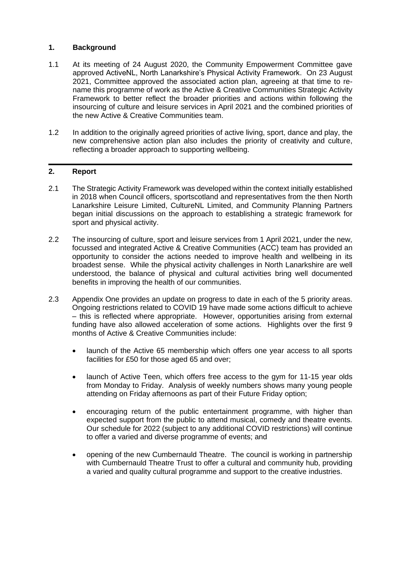### **1. Background**

- 1.1 At its meeting of 24 August 2020, the Community Empowerment Committee gave approved ActiveNL, North Lanarkshire's Physical Activity Framework. On 23 August 2021, Committee approved the associated action plan, agreeing at that time to rename this programme of work as the Active & Creative Communities Strategic Activity Framework to better reflect the broader priorities and actions within following the insourcing of culture and leisure services in April 2021 and the combined priorities of the new Active & Creative Communities team.
- 1.2 In addition to the originally agreed priorities of active living, sport, dance and play, the new comprehensive action plan also includes the priority of creativity and culture, reflecting a broader approach to supporting wellbeing.

#### **2. Report**

- 2.1 The Strategic Activity Framework was developed within the context initially established in 2018 when Council officers, sportscotland and representatives from the then North Lanarkshire Leisure Limited, CultureNL Limited, and Community Planning Partners began initial discussions on the approach to establishing a strategic framework for sport and physical activity.
- 2.2 The insourcing of culture, sport and leisure services from 1 April 2021, under the new, focussed and integrated Active & Creative Communities (ACC) team has provided an opportunity to consider the actions needed to improve health and wellbeing in its broadest sense. While the physical activity challenges in North Lanarkshire are well understood, the balance of physical and cultural activities bring well documented benefits in improving the health of our communities.
- 2.3 Appendix One provides an update on progress to date in each of the 5 priority areas. Ongoing restrictions related to COVID 19 have made some actions difficult to achieve – this is reflected where appropriate. However, opportunities arising from external funding have also allowed acceleration of some actions. Highlights over the first 9 months of Active & Creative Communities include:
	- launch of the Active 65 membership which offers one year access to all sports facilities for £50 for those aged 65 and over;
	- launch of Active Teen, which offers free access to the gym for 11-15 year olds from Monday to Friday. Analysis of weekly numbers shows many young people attending on Friday afternoons as part of their Future Friday option;
	- encouraging return of the public entertainment programme, with higher than expected support from the public to attend musical, comedy and theatre events. Our schedule for 2022 (subject to any additional COVID restrictions) will continue to offer a varied and diverse programme of events; and
	- opening of the new Cumbernauld Theatre. The council is working in partnership with Cumbernauld Theatre Trust to offer a cultural and community hub, providing a varied and quality cultural programme and support to the creative industries.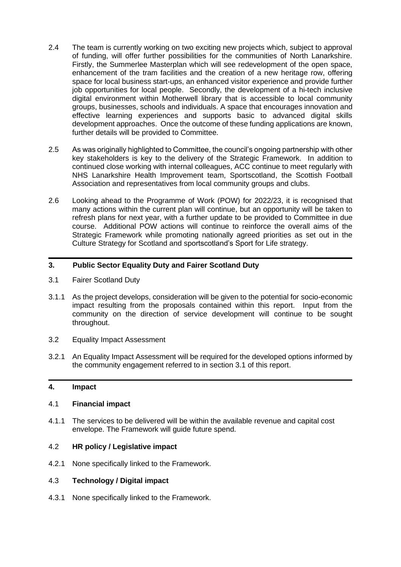- 2.4 The team is currently working on two exciting new projects which, subject to approval of funding, will offer further possibilities for the communities of North Lanarkshire. Firstly, the Summerlee Masterplan which will see redevelopment of the open space, enhancement of the tram facilities and the creation of a new heritage row, offering space for local business start-ups, an enhanced visitor experience and provide further job opportunities for local people. Secondly, the development of a hi-tech inclusive digital environment within Motherwell library that is accessible to local community groups, businesses, schools and individuals. A space that encourages innovation and effective learning experiences and supports basic to advanced digital skills development approaches. Once the outcome of these funding applications are known, further details will be provided to Committee.
- 2.5 As was originally highlighted to Committee, the council's ongoing partnership with other key stakeholders is key to the delivery of the Strategic Framework. In addition to continued close working with internal colleagues, ACC continue to meet regularly with NHS Lanarkshire Health Improvement team, Sportscotland, the Scottish Football Association and representatives from local community groups and clubs.
- 2.6 Looking ahead to the Programme of Work (POW) for 2022/23, it is recognised that many actions within the current plan will continue, but an opportunity will be taken to refresh plans for next year, with a further update to be provided to Committee in due course. Additional POW actions will continue to reinforce the overall aims of the Strategic Framework while promoting nationally agreed priorities as set out in the Culture Strategy for Scotland and sportscotland's Sport for Life strategy.

#### **3. Public Sector Equality Duty and Fairer Scotland Duty**

- 3.1 Fairer Scotland Duty
- 3.1.1 As the project develops, consideration will be given to the potential for socio-economic impact resulting from the proposals contained within this report. Input from the community on the direction of service development will continue to be sought throughout.
- 3.2 Equality Impact Assessment
- 3.2.1 An Equality Impact Assessment will be required for the developed options informed by the community engagement referred to in section 3.1 of this report.

#### **4. Impact**

#### 4.1 **Financial impact**

4.1.1 The services to be delivered will be within the available revenue and capital cost envelope. The Framework will guide future spend.

#### 4.2 **HR policy / Legislative impact**

4.2.1 None specifically linked to the Framework.

#### 4.3 **Technology / Digital impact**

4.3.1 None specifically linked to the Framework.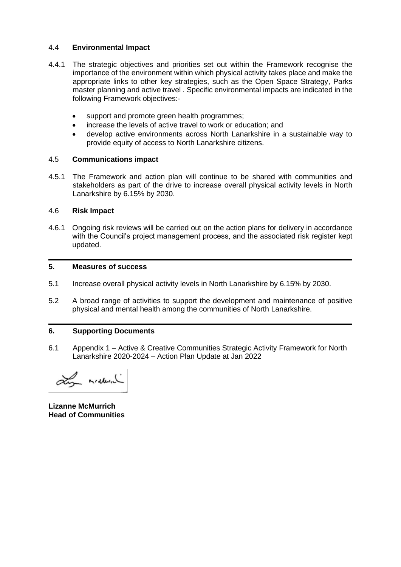#### 4.4 **Environmental Impact**

- 4.4.1 The strategic objectives and priorities set out within the Framework recognise the importance of the environment within which physical activity takes place and make the appropriate links to other key strategies, such as the Open Space Strategy, Parks master planning and active travel . Specific environmental impacts are indicated in the following Framework objectives:
	- support and promote green health programmes;
	- increase the levels of active travel to work or education; and
	- develop active environments across North Lanarkshire in a sustainable way to provide equity of access to North Lanarkshire citizens.

#### 4.5 **Communications impact**

4.5.1 The Framework and action plan will continue to be shared with communities and stakeholders as part of the drive to increase overall physical activity levels in North Lanarkshire by 6.15% by 2030.

#### 4.6 **Risk Impact**

4.6.1 Ongoing risk reviews will be carried out on the action plans for delivery in accordance with the Council's project management process, and the associated risk register kept updated.

#### **5. Measures of success**

- 5.1 Increase overall physical activity levels in North Lanarkshire by 6.15% by 2030.
- 5.2 A broad range of activities to support the development and maintenance of positive physical and mental health among the communities of North Lanarkshire.

#### **6. Supporting Documents**

6.1 Appendix 1 – Active & Creative Communities Strategic Activity Framework for North Lanarkshire 2020-2024 – Action Plan Update at Jan 2022

Ly redund

**Lizanne McMurrich Head of Communities**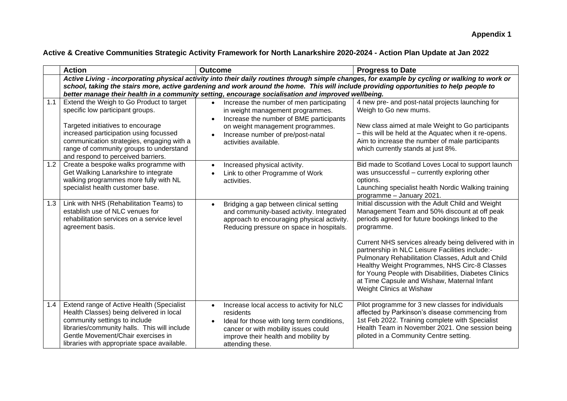# **Active & Creative Communities Strategic Activity Framework for North Lanarkshire 2020-2024 - Action Plan Update at Jan 2022**

|     | <b>Action</b>                                                                                                                                                                                                                                               | <b>Outcome</b>                                                                                                                                                                                                        | <b>Progress to Date</b>                                                                                                                                                                                                                                                                                                                          |
|-----|-------------------------------------------------------------------------------------------------------------------------------------------------------------------------------------------------------------------------------------------------------------|-----------------------------------------------------------------------------------------------------------------------------------------------------------------------------------------------------------------------|--------------------------------------------------------------------------------------------------------------------------------------------------------------------------------------------------------------------------------------------------------------------------------------------------------------------------------------------------|
|     |                                                                                                                                                                                                                                                             |                                                                                                                                                                                                                       | Active Living - incorporating physical activity into their daily routines through simple changes, for example by cycling or walking to work or                                                                                                                                                                                                   |
|     | school, taking the stairs more, active gardening and work around the home. This will include providing opportunities to help people to<br>better manage their health in a community setting, encourage socialisation and improved wellbeing.                |                                                                                                                                                                                                                       |                                                                                                                                                                                                                                                                                                                                                  |
| 1.1 | Extend the Weigh to Go Product to target<br>specific low participant groups.<br>Targeted initiatives to encourage                                                                                                                                           | Increase the number of men participating<br>$\bullet$<br>in weight management programmes.<br>Increase the number of BME participants<br>on weight management programmes.                                              | 4 new pre- and post-natal projects launching for<br>Weigh to Go new mums.<br>New class aimed at male Weight to Go participants                                                                                                                                                                                                                   |
|     | increased participation using focussed<br>communication strategies, engaging with a<br>range of community groups to understand<br>and respond to perceived barriers.                                                                                        | Increase number of pre/post-natal<br>activities available.                                                                                                                                                            | - this will be held at the Aquatec when it re-opens.<br>Aim to increase the number of male participants<br>which currently stands at just 8%.                                                                                                                                                                                                    |
| 1.2 | Create a bespoke walks programme with<br>Get Walking Lanarkshire to integrate<br>walking programmes more fully with NL<br>specialist health customer base.                                                                                                  | Increased physical activity.<br>Link to other Programme of Work<br>activities.                                                                                                                                        | Bid made to Scotland Loves Local to support launch<br>was unsuccessful - currently exploring other<br>options.<br>Launching specialist health Nordic Walking training<br>programme - January 2021.                                                                                                                                               |
| 1.3 | Link with NHS (Rehabilitation Teams) to<br>establish use of NLC venues for<br>rehabilitation services on a service level<br>agreement basis.                                                                                                                | Bridging a gap between clinical setting<br>and community-based activity. Integrated<br>approach to encouraging physical activity.<br>Reducing pressure on space in hospitals.                                         | Initial discussion with the Adult Child and Weight<br>Management Team and 50% discount at off peak<br>periods agreed for future bookings linked to the<br>programme.                                                                                                                                                                             |
|     |                                                                                                                                                                                                                                                             |                                                                                                                                                                                                                       | Current NHS services already being delivered with in<br>partnership in NLC Leisure Facilities include:-<br>Pulmonary Rehabilitation Classes, Adult and Child<br>Healthy Weight Programmes, NHS Circ-8 Classes<br>for Young People with Disabilities, Diabetes Clinics<br>at Time Capsule and Wishaw, Maternal Infant<br>Weight Clinics at Wishaw |
| 1.4 | Extend range of Active Health (Specialist<br>Health Classes) being delivered in local<br>community settings to include<br>libraries/community halls. This will include<br>Gentle Movement/Chair exercises in<br>libraries with appropriate space available. | Increase local access to activity for NLC<br>$\bullet$<br>residents<br>Ideal for those with long term conditions,<br>cancer or with mobility issues could<br>improve their health and mobility by<br>attending these. | Pilot programme for 3 new classes for individuals<br>affected by Parkinson's disease commencing from<br>1st Feb 2022. Training complete with Specialist<br>Health Team in November 2021. One session being<br>piloted in a Community Centre setting.                                                                                             |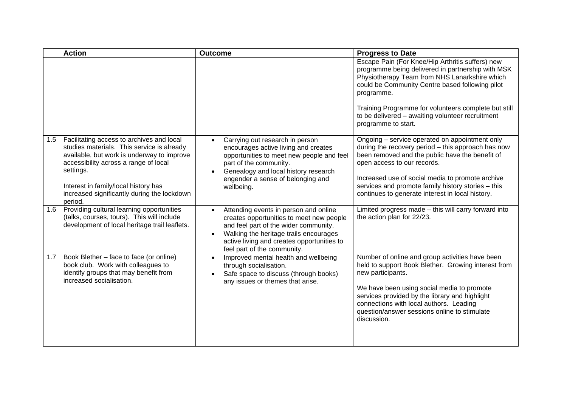|     | <b>Action</b>                                                                                                                                                                                                                                                                                 | <b>Outcome</b>                                                                                                                                                                                                                                    | <b>Progress to Date</b>                                                                                                                                                                                                                                                                                                                                    |
|-----|-----------------------------------------------------------------------------------------------------------------------------------------------------------------------------------------------------------------------------------------------------------------------------------------------|---------------------------------------------------------------------------------------------------------------------------------------------------------------------------------------------------------------------------------------------------|------------------------------------------------------------------------------------------------------------------------------------------------------------------------------------------------------------------------------------------------------------------------------------------------------------------------------------------------------------|
|     |                                                                                                                                                                                                                                                                                               |                                                                                                                                                                                                                                                   | Escape Pain (For Knee/Hip Arthritis suffers) new<br>programme being delivered in partnership with MSK<br>Physiotherapy Team from NHS Lanarkshire which<br>could be Community Centre based following pilot<br>programme.<br>Training Programme for volunteers complete but still<br>to be delivered - awaiting volunteer recruitment<br>programme to start. |
| 1.5 | Facilitating access to archives and local<br>studies materials. This service is already<br>available, but work is underway to improve<br>accessibility across a range of local<br>settings.<br>Interest in family/local history has<br>increased significantly during the lockdown<br>period. | Carrying out research in person<br>encourages active living and creates<br>opportunities to meet new people and feel<br>part of the community.<br>Genealogy and local history research<br>engender a sense of belonging and<br>wellbeing.         | Ongoing - service operated on appointment only<br>during the recovery period - this approach has now<br>been removed and the public have the benefit of<br>open access to our records.<br>Increased use of social media to promote archive<br>services and promote family history stories - this<br>continues to generate interest in local history.       |
| 1.6 | Providing cultural learning opportunities<br>(talks, courses, tours). This will include<br>development of local heritage trail leaflets.                                                                                                                                                      | Attending events in person and online<br>creates opportunities to meet new people<br>and feel part of the wider community.<br>Walking the heritage trails encourages<br>active living and creates opportunities to<br>feel part of the community. | Limited progress made - this will carry forward into<br>the action plan for 22/23.                                                                                                                                                                                                                                                                         |
| 1.7 | Book Blether - face to face (or online)<br>book club. Work with colleagues to<br>identify groups that may benefit from<br>increased socialisation.                                                                                                                                            | Improved mental health and wellbeing<br>through socialisation.<br>Safe space to discuss (through books)<br>any issues or themes that arise.                                                                                                       | Number of online and group activities have been<br>held to support Book Blether. Growing interest from<br>new participants.<br>We have been using social media to promote<br>services provided by the library and highlight<br>connections with local authors. Leading<br>question/answer sessions online to stimulate<br>discussion.                      |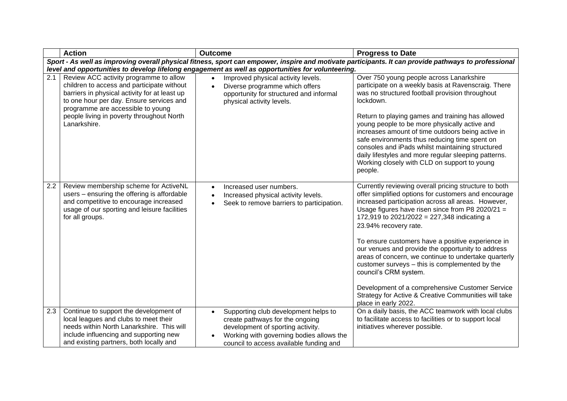|     | <b>Action</b>                                                                                                                                                                                                                                                                       | <b>Outcome</b>                                                                                                                                                                                                                                                              | <b>Progress to Date</b>                                                                                                                                                                                                                                                                                                                                                                                                                                                                                                                                                                                                                                                         |  |  |
|-----|-------------------------------------------------------------------------------------------------------------------------------------------------------------------------------------------------------------------------------------------------------------------------------------|-----------------------------------------------------------------------------------------------------------------------------------------------------------------------------------------------------------------------------------------------------------------------------|---------------------------------------------------------------------------------------------------------------------------------------------------------------------------------------------------------------------------------------------------------------------------------------------------------------------------------------------------------------------------------------------------------------------------------------------------------------------------------------------------------------------------------------------------------------------------------------------------------------------------------------------------------------------------------|--|--|
|     | Sport - As well as improving overall physical fitness, sport can empower, inspire and motivate participants. It can provide pathways to professional                                                                                                                                |                                                                                                                                                                                                                                                                             |                                                                                                                                                                                                                                                                                                                                                                                                                                                                                                                                                                                                                                                                                 |  |  |
| 2.1 | Review ACC activity programme to allow<br>children to access and participate without<br>barriers in physical activity for at least up<br>to one hour per day. Ensure services and<br>programme are accessible to young<br>people living in poverty throughout North<br>Lanarkshire. | level and opportunities to develop lifelong engagement as well as opportunities for volunteering.<br>Improved physical activity levels.<br>$\bullet$<br>Diverse programme which offers<br>$\bullet$<br>opportunity for structured and informal<br>physical activity levels. | Over 750 young people across Lanarkshire<br>participate on a weekly basis at Ravenscraig. There<br>was no structured football provision throughout<br>lockdown.<br>Return to playing games and training has allowed<br>young people to be more physically active and<br>increases amount of time outdoors being active in<br>safe environments thus reducing time spent on<br>consoles and iPads whilst maintaining structured<br>daily lifestyles and more regular sleeping patterns.<br>Working closely with CLD on support to young<br>people.                                                                                                                               |  |  |
| 2.2 | Review membership scheme for ActiveNL<br>users - ensuring the offering is affordable<br>and competitive to encourage increased<br>usage of our sporting and leisure facilities<br>for all groups.                                                                                   | Increased user numbers.<br>Increased physical activity levels.<br>Seek to remove barriers to participation.                                                                                                                                                                 | Currently reviewing overall pricing structure to both<br>offer simplified options for customers and encourage<br>increased participation across all areas. However,<br>Usage figures have risen since from P8 2020/21 =<br>172,919 to 2021/2022 = 227,348 indicating a<br>23.94% recovery rate.<br>To ensure customers have a positive experience in<br>our venues and provide the opportunity to address<br>areas of concern, we continue to undertake quarterly<br>customer surveys - this is complemented by the<br>council's CRM system.<br>Development of a comprehensive Customer Service<br>Strategy for Active & Creative Communities will take<br>place in early 2022. |  |  |
| 2.3 | Continue to support the development of<br>local leagues and clubs to meet their<br>needs within North Lanarkshire. This will<br>include influencing and supporting new<br>and existing partners, both locally and                                                                   | Supporting club development helps to<br>create pathways for the ongoing<br>development of sporting activity.<br>Working with governing bodies allows the<br>council to access available funding and                                                                         | On a daily basis, the ACC teamwork with local clubs<br>to facilitate access to facilities or to support local<br>initiatives wherever possible.                                                                                                                                                                                                                                                                                                                                                                                                                                                                                                                                 |  |  |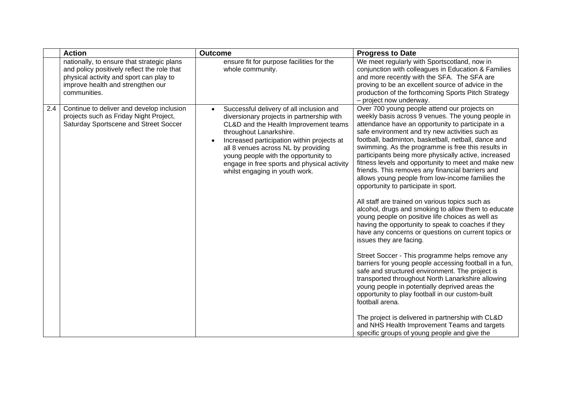|     | <b>Action</b>                                                                                                                                                                             | <b>Outcome</b>                                                                                                                                                                                                                                                                                                                                                                       | <b>Progress to Date</b>                                                                                                                                                                                                                                                                                                                                                                                                                                                                                                                                                                                                                                                                                                                                                                                                                                                                                                                                                                                                                                                                                                                                                                                                                                                                                                                                                                         |
|-----|-------------------------------------------------------------------------------------------------------------------------------------------------------------------------------------------|--------------------------------------------------------------------------------------------------------------------------------------------------------------------------------------------------------------------------------------------------------------------------------------------------------------------------------------------------------------------------------------|-------------------------------------------------------------------------------------------------------------------------------------------------------------------------------------------------------------------------------------------------------------------------------------------------------------------------------------------------------------------------------------------------------------------------------------------------------------------------------------------------------------------------------------------------------------------------------------------------------------------------------------------------------------------------------------------------------------------------------------------------------------------------------------------------------------------------------------------------------------------------------------------------------------------------------------------------------------------------------------------------------------------------------------------------------------------------------------------------------------------------------------------------------------------------------------------------------------------------------------------------------------------------------------------------------------------------------------------------------------------------------------------------|
|     | nationally, to ensure that strategic plans<br>and policy positively reflect the role that<br>physical activity and sport can play to<br>improve health and strengthen our<br>communities. | ensure fit for purpose facilities for the<br>whole community.                                                                                                                                                                                                                                                                                                                        | We meet regularly with Sportscotland, now in<br>conjunction with colleagues in Education & Families<br>and more recently with the SFA. The SFA are<br>proving to be an excellent source of advice in the<br>production of the forthcoming Sports Pitch Strategy<br>- project now underway.                                                                                                                                                                                                                                                                                                                                                                                                                                                                                                                                                                                                                                                                                                                                                                                                                                                                                                                                                                                                                                                                                                      |
| 2.4 | Continue to deliver and develop inclusion<br>projects such as Friday Night Project,<br>Saturday Sportscene and Street Soccer                                                              | Successful delivery of all inclusion and<br>$\bullet$<br>diversionary projects in partnership with<br>CL&D and the Health Improvement teams<br>throughout Lanarkshire.<br>Increased participation within projects at<br>all 8 venues across NL by providing<br>young people with the opportunity to<br>engage in free sports and physical activity<br>whilst engaging in youth work. | Over 700 young people attend our projects on<br>weekly basis across 9 venues. The young people in<br>attendance have an opportunity to participate in a<br>safe environment and try new activities such as<br>football, badminton, basketball, netball, dance and<br>swimming. As the programme is free this results in<br>participants being more physically active, increased<br>fitness levels and opportunity to meet and make new<br>friends. This removes any financial barriers and<br>allows young people from low-income families the<br>opportunity to participate in sport.<br>All staff are trained on various topics such as<br>alcohol, drugs and smoking to allow them to educate<br>young people on positive life choices as well as<br>having the opportunity to speak to coaches if they<br>have any concerns or questions on current topics or<br>issues they are facing.<br>Street Soccer - This programme helps remove any<br>barriers for young people accessing football in a fun,<br>safe and structured environment. The project is<br>transported throughout North Lanarkshire allowing<br>young people in potentially deprived areas the<br>opportunity to play football in our custom-built<br>football arena.<br>The project is delivered in partnership with CL&D<br>and NHS Health Improvement Teams and targets<br>specific groups of young people and give the |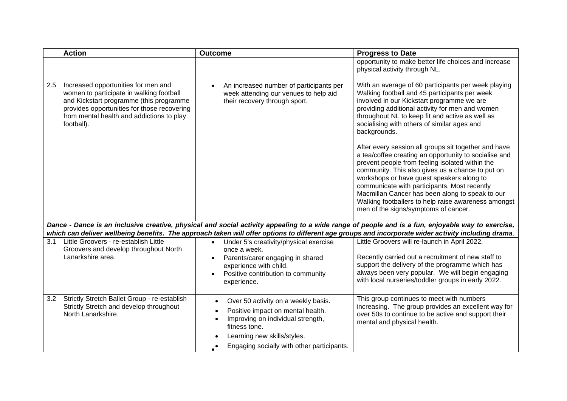|     | <b>Action</b>                                                                                                                                                                                                                        | <b>Outcome</b>                                                                                                                                                                                                                        | <b>Progress to Date</b>                                                                                                                                                                                                                                                                                                                                                                                                                                             |
|-----|--------------------------------------------------------------------------------------------------------------------------------------------------------------------------------------------------------------------------------------|---------------------------------------------------------------------------------------------------------------------------------------------------------------------------------------------------------------------------------------|---------------------------------------------------------------------------------------------------------------------------------------------------------------------------------------------------------------------------------------------------------------------------------------------------------------------------------------------------------------------------------------------------------------------------------------------------------------------|
|     |                                                                                                                                                                                                                                      |                                                                                                                                                                                                                                       | opportunity to make better life choices and increase<br>physical activity through NL.                                                                                                                                                                                                                                                                                                                                                                               |
| 2.5 | Increased opportunities for men and<br>women to participate in walking football<br>and Kickstart programme (this programme<br>provides opportunities for those recovering<br>from mental health and addictions to play<br>football). | An increased number of participants per<br>week attending our venues to help aid<br>their recovery through sport.                                                                                                                     | With an average of 60 participants per week playing<br>Walking football and 45 participants per week<br>involved in our Kickstart programme we are<br>providing additional activity for men and women<br>throughout NL to keep fit and active as well as<br>socialising with others of similar ages and<br>backgrounds.                                                                                                                                             |
|     |                                                                                                                                                                                                                                      |                                                                                                                                                                                                                                       | After every session all groups sit together and have<br>a tea/coffee creating an opportunity to socialise and<br>prevent people from feeling isolated within the<br>community. This also gives us a chance to put on<br>workshops or have guest speakers along to<br>communicate with participants. Most recently<br>Macmillan Cancer has been along to speak to our<br>Walking footballers to help raise awareness amongst<br>men of the signs/symptoms of cancer. |
|     |                                                                                                                                                                                                                                      |                                                                                                                                                                                                                                       | Dance - Dance is an inclusive creative, physical and social activity appealing to a wide range of people and is a fun, enjoyable way to exercise,                                                                                                                                                                                                                                                                                                                   |
|     |                                                                                                                                                                                                                                      |                                                                                                                                                                                                                                       | which can deliver wellbeing benefits. The approach taken will offer options to different age groups and incorporate wider activity including drama.                                                                                                                                                                                                                                                                                                                 |
| 3.1 | Little Groovers - re-establish Little                                                                                                                                                                                                | Under 5's creativity/physical exercise<br>$\bullet$                                                                                                                                                                                   | Little Groovers will re-launch in April 2022.                                                                                                                                                                                                                                                                                                                                                                                                                       |
|     | Groovers and develop throughout North<br>Lanarkshire area.                                                                                                                                                                           | once a week.<br>Parents/carer engaging in shared<br>$\bullet$<br>experience with child.<br>Positive contribution to community<br>experience.                                                                                          | Recently carried out a recruitment of new staff to<br>support the delivery of the programme which has<br>always been very popular. We will begin engaging<br>with local nurseries/toddler groups in early 2022.                                                                                                                                                                                                                                                     |
| 3.2 | Strictly Stretch Ballet Group - re-establish<br>Strictly Stretch and develop throughout<br>North Lanarkshire.                                                                                                                        | Over 50 activity on a weekly basis.<br>Positive impact on mental health.<br>$\bullet$<br>Improving on individual strength,<br>$\bullet$<br>fitness tone.<br>Learning new skills/styles.<br>Engaging socially with other participants. | This group continues to meet with numbers<br>increasing. The group provides an excellent way for<br>over 50s to continue to be active and support their<br>mental and physical health.                                                                                                                                                                                                                                                                              |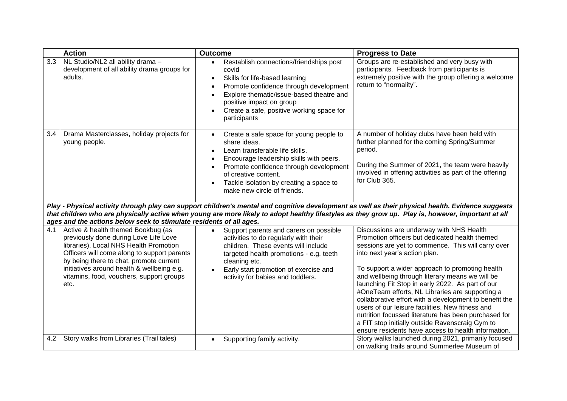|     | <b>Action</b>                                                                                                                                                                                                                                                                                                                                                                  | <b>Outcome</b>                                                                                                                                                                                                                                                                                 | <b>Progress to Date</b>                                                                                                                                                                                                                                                                                                                                                                                                                                                                                                                                                                                                                                                        |
|-----|--------------------------------------------------------------------------------------------------------------------------------------------------------------------------------------------------------------------------------------------------------------------------------------------------------------------------------------------------------------------------------|------------------------------------------------------------------------------------------------------------------------------------------------------------------------------------------------------------------------------------------------------------------------------------------------|--------------------------------------------------------------------------------------------------------------------------------------------------------------------------------------------------------------------------------------------------------------------------------------------------------------------------------------------------------------------------------------------------------------------------------------------------------------------------------------------------------------------------------------------------------------------------------------------------------------------------------------------------------------------------------|
| 3.3 | NL Studio/NL2 all ability drama -<br>development of all ability drama groups for<br>adults.                                                                                                                                                                                                                                                                                    | Restablish connections/friendships post<br>covid<br>Skills for life-based learning<br>$\bullet$<br>Promote confidence through development<br>Explore thematic/issue-based theatre and<br>positive impact on group<br>Create a safe, positive working space for<br>$\bullet$<br>participants    | Groups are re-established and very busy with<br>participants. Feedback from participants is<br>extremely positive with the group offering a welcome<br>return to "normality".                                                                                                                                                                                                                                                                                                                                                                                                                                                                                                  |
| 3.4 | Drama Masterclasses, holiday projects for<br>young people.                                                                                                                                                                                                                                                                                                                     | Create a safe space for young people to<br>$\bullet$<br>share ideas.<br>Learn transferable life skills.<br>Encourage leadership skills with peers.<br>Promote confidence through development<br>of creative content.<br>Tackle isolation by creating a space to<br>make new circle of friends. | A number of holiday clubs have been held with<br>further planned for the coming Spring/Summer<br>period.<br>During the Summer of 2021, the team were heavily<br>involved in offering activities as part of the offering<br>for Club 365.                                                                                                                                                                                                                                                                                                                                                                                                                                       |
|     | Play - Physical activity through play can support children's mental and cognitive development as well as their physical health. Evidence suggests<br>that children who are physically active when young are more likely to adopt healthy lifestyles as they grow up. Play is, however, important at all<br>ages and the actions below seek to stimulate residents of all ages. |                                                                                                                                                                                                                                                                                                |                                                                                                                                                                                                                                                                                                                                                                                                                                                                                                                                                                                                                                                                                |
| 4.1 | Active & health themed Bookbug (as<br>previously done during Love Life Love<br>libraries). Local NHS Health Promotion<br>Officers will come along to support parents<br>by being there to chat, promote current<br>initiatives around health & wellbeing e.g.<br>vitamins, food, vouchers, support groups<br>etc.                                                              | Support parents and carers on possible<br>activities to do regularly with their<br>children. These events will include<br>targeted health promotions - e.g. teeth<br>cleaning etc.<br>Early start promotion of exercise and<br>activity for babies and toddlers.                               | Discussions are underway with NHS Health<br>Promotion officers but dedicated health themed<br>sessions are yet to commence. This will carry over<br>into next year's action plan.<br>To support a wider approach to promoting health<br>and wellbeing through literary means we will be<br>launching Fit Stop in early 2022. As part of our<br>#OneTeam efforts, NL Libraries are supporting a<br>collaborative effort with a development to benefit the<br>users of our leisure facilities. New fitness and<br>nutrition focussed literature has been purchased for<br>a FIT stop initially outside Ravenscraig Gym to<br>ensure residents have access to health information. |
| 4.2 | Story walks from Libraries (Trail tales)                                                                                                                                                                                                                                                                                                                                       | Supporting family activity.                                                                                                                                                                                                                                                                    | Story walks launched during 2021, primarily focused<br>on walking trails around Summerlee Museum of                                                                                                                                                                                                                                                                                                                                                                                                                                                                                                                                                                            |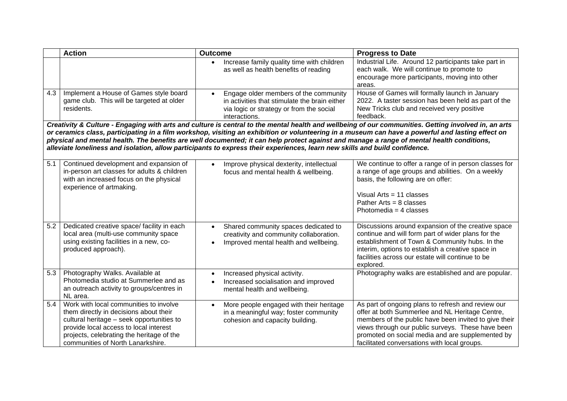|     | <b>Action</b>                                                                                                                                                                                                                                                                                                                                                                                                                                                                                                                                                                         | <b>Outcome</b>                                                                                                                                      | <b>Progress to Date</b>                                                                                                                                                                                                                                                                                                 |  |  |
|-----|---------------------------------------------------------------------------------------------------------------------------------------------------------------------------------------------------------------------------------------------------------------------------------------------------------------------------------------------------------------------------------------------------------------------------------------------------------------------------------------------------------------------------------------------------------------------------------------|-----------------------------------------------------------------------------------------------------------------------------------------------------|-------------------------------------------------------------------------------------------------------------------------------------------------------------------------------------------------------------------------------------------------------------------------------------------------------------------------|--|--|
|     |                                                                                                                                                                                                                                                                                                                                                                                                                                                                                                                                                                                       | Increase family quality time with children<br>as well as health benefits of reading                                                                 | Industrial Life. Around 12 participants take part in<br>each walk. We will continue to promote to<br>encourage more participants, moving into other<br>areas.                                                                                                                                                           |  |  |
| 4.3 | Implement a House of Games style board<br>game club. This will be targeted at older<br>residents.                                                                                                                                                                                                                                                                                                                                                                                                                                                                                     | Engage older members of the community<br>in activities that stimulate the brain either<br>via logic or strategy or from the social<br>interactions. | House of Games will formally launch in January<br>2022. A taster session has been held as part of the<br>New Tricks club and received very positive<br>feedback.                                                                                                                                                        |  |  |
|     | Creativity & Culture - Engaging with arts and culture is central to the mental health and wellbeing of our communities. Getting involved in, an arts<br>or ceramics class, participating in a film workshop, visiting an exhibition or volunteering in a museum can have a powerful and lasting effect on<br>physical and mental health. The benefits are well documented; it can help protect against and manage a range of mental health conditions,<br>alleviate loneliness and isolation, allow participants to express their experiences, learn new skills and build confidence. |                                                                                                                                                     |                                                                                                                                                                                                                                                                                                                         |  |  |
| 5.1 | Continued development and expansion of<br>in-person art classes for adults & children<br>with an increased focus on the physical<br>experience of artmaking.                                                                                                                                                                                                                                                                                                                                                                                                                          | Improve physical dexterity, intellectual<br>focus and mental health & wellbeing.                                                                    | We continue to offer a range of in person classes for<br>a range of age groups and abilities. On a weekly<br>basis, the following are on offer:<br>Visual Arts = $11$ classes<br>Pather Arts = $8$ classes<br>Photomedia = $4$ classes                                                                                  |  |  |
| 5.2 | Dedicated creative space/ facility in each<br>local area (multi-use community space<br>using existing facilities in a new, co-<br>produced approach).                                                                                                                                                                                                                                                                                                                                                                                                                                 | Shared community spaces dedicated to<br>$\bullet$<br>creativity and community collaboration.<br>Improved mental health and wellbeing.               | Discussions around expansion of the creative space<br>continue and will form part of wider plans for the<br>establishment of Town & Community hubs. In the<br>interim, options to establish a creative space in<br>facilities across our estate will continue to be<br>explored.                                        |  |  |
| 5.3 | Photography Walks. Available at<br>Photomedia studio at Summerlee and as<br>an outreach activity to groups/centres in<br>NL area.                                                                                                                                                                                                                                                                                                                                                                                                                                                     | Increased physical activity.<br>$\bullet$<br>Increased socialisation and improved<br>mental health and wellbeing.                                   | Photography walks are established and are popular.                                                                                                                                                                                                                                                                      |  |  |
| 5.4 | Work with local communities to involve<br>them directly in decisions about their<br>cultural heritage - seek opportunities to<br>provide local access to local interest<br>projects, celebrating the heritage of the<br>communities of North Lanarkshire.                                                                                                                                                                                                                                                                                                                             | More people engaged with their heritage<br>in a meaningful way; foster community<br>cohesion and capacity building.                                 | As part of ongoing plans to refresh and review our<br>offer at both Summerlee and NL Heritage Centre,<br>members of the public have been invited to give their<br>views through our public surveys. These have been<br>promoted on social media and are supplemented by<br>facilitated conversations with local groups. |  |  |